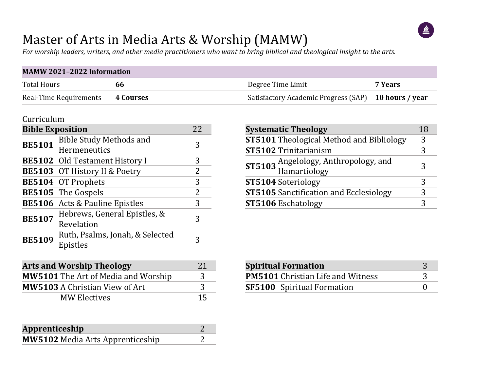# $\mathbf{M}$

### Master of Arts in Media Arts & Worship (MAMW)

*For worship leaders, writers, and other media practitioners who want to bring biblical and theological insight to the arts.*

| <b>MAMW 2021-2022 Information</b> |           |                                                      |         |  |  |  |  |  |  |  |
|-----------------------------------|-----------|------------------------------------------------------|---------|--|--|--|--|--|--|--|
| Total Hours                       | hh        | Degree Time Limit                                    | 7 Years |  |  |  |  |  |  |  |
| Real-Time Requirements            | 4 Courses | Satisfactory Academic Progress (SAP) 10 hours / year |         |  |  |  |  |  |  |  |

#### Curriculum

| <b>Bible Exposition</b> |                                                | 22 |
|-------------------------|------------------------------------------------|----|
| <b>BE5101</b>           | <b>Bible Study Methods and</b><br>Hermeneutics | 3  |
|                         | <b>BE5102</b> Old Testament History I          | 3  |
|                         | <b>BE5103</b> OT History II & Poetry           | 2  |
|                         | <b>BE5104</b> OT Prophets                      | 3  |
|                         | <b>BE5105</b> The Gospels                      | 2  |
|                         | <b>BE5106</b> Acts & Pauline Epistles          | 3  |
| <b>BE5107</b>           | Hebrews, General Epistles, &<br>Revelation     | 3  |
| <b>BE5109</b>           | Ruth, Psalms, Jonah, & Selected<br>Epistles    |    |

| <b>Arts and Worship Theology</b>           |               |  |  |  |  |
|--------------------------------------------|---------------|--|--|--|--|
| <b>MW5101</b> The Art of Media and Worship | $\mathcal{R}$ |  |  |  |  |
| <b>MW5103 A Christian View of Art</b>      | २             |  |  |  |  |
| <b>MW Electives</b>                        |               |  |  |  |  |

| Apprenticeship                          |  |
|-----------------------------------------|--|
| <b>MW5102</b> Media Arts Apprenticeship |  |

| <b>Systematic Theology</b>                           | 18 |
|------------------------------------------------------|----|
| <b>ST5101</b> Theological Method and Bibliology      | 3  |
| <b>ST5102 Trinitarianism</b>                         |    |
| ST5103 Angelology, Anthropology, and<br>Hamartiology |    |
| <b>ST5104</b> Soteriology                            |    |
| <b>ST5105</b> Sanctification and Ecclesiology        |    |
| <b>ST5106</b> Eschatology                            |    |

| <b>Spiritual Formation</b>               |  |
|------------------------------------------|--|
| <b>PM5101</b> Christian Life and Witness |  |
| <b>SF5100</b> Spiritual Formation        |  |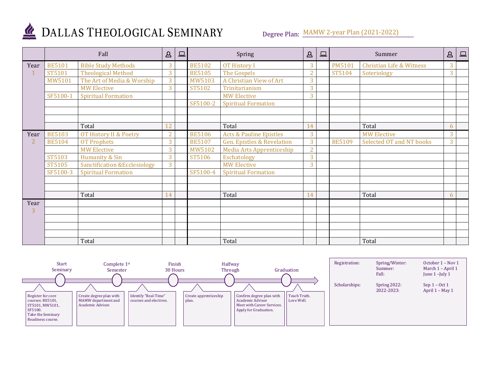

### DALLAS THEOLOGICAL SEMINARY

Degree Plan: MAMW 2-year Plan (2021-2022)

|                | Fall          |                                         | $\Delta$       | $\Box$ |               | Spring                             | $\Delta$       | 므 |               | Summer                              | $\Delta$ | $\square$ |
|----------------|---------------|-----------------------------------------|----------------|--------|---------------|------------------------------------|----------------|---|---------------|-------------------------------------|----------|-----------|
| Year           | <b>BE5101</b> | <b>Bible Study Methods</b>              | 3              |        | <b>BE5102</b> | <b>OT History I</b>                | 3              |   | <b>PM5101</b> | <b>Christian Life &amp; Witness</b> | 3        |           |
|                | ST5101        | <b>Theological Method</b>               | 3              |        | <b>BE5105</b> | The Gospels                        | $\overline{2}$ |   | ST5104        | Soteriology                         | 3        |           |
|                | MW5101        | The Art of Media & Worship              | 3              |        | MW5103        | A Christian View of Art            | 3              |   |               |                                     |          |           |
|                |               | <b>MW Elective</b>                      | 3              |        | ST5102        | Trinitarianism                     | 3              |   |               |                                     |          |           |
|                | SF5100-1      | <b>Spiritual Formation</b>              |                |        |               | <b>MW Elective</b>                 | 3              |   |               |                                     |          |           |
|                |               |                                         |                |        | SF5100-2      | <b>Spiritual Formation</b>         |                |   |               |                                     |          |           |
|                |               |                                         |                |        |               |                                    |                |   |               |                                     |          |           |
|                |               |                                         |                |        |               |                                    |                |   |               |                                     |          |           |
|                |               | Total                                   | 12             |        |               | Total                              | 14             |   |               | Total                               | 6        |           |
| Year           | <b>BE5103</b> | OT History II & Poetry                  | $\overline{2}$ |        | <b>BE5106</b> | <b>Acts &amp; Pauline Epistles</b> | 3              |   |               | <b>MW Elective</b>                  | 3        |           |
| $\overline{2}$ | <b>BE5104</b> | <b>OT Prophets</b>                      | 3              |        | <b>BE5107</b> | Gen. Epistles & Revelation         | 3              |   | <b>BE5109</b> | Selected OT and NT books            | 3        |           |
|                |               | <b>MW Elective</b>                      | 3              |        | MW5102        | Media Arts Apprenticeship          | $\overline{2}$ |   |               |                                     |          |           |
|                | ST5103        | Humanity & Sin                          | 3              |        | ST5106        | Eschatology                        | 3              |   |               |                                     |          |           |
|                | ST5105        | <b>Sanctification &amp;Ecclesiology</b> | $\overline{3}$ |        |               | <b>MW Elective</b>                 | 3              |   |               |                                     |          |           |
|                | SF5100-3      | <b>Spiritual Formation</b>              |                |        | SF5100-4      | <b>Spiritual Formation</b>         |                |   |               |                                     |          |           |
|                |               |                                         |                |        |               |                                    |                |   |               |                                     |          |           |
|                |               |                                         |                |        |               |                                    |                |   |               |                                     |          |           |
|                |               | Total                                   | 14             |        |               | Total                              | 14             |   |               | Total                               | 6        |           |
| Year           |               |                                         |                |        |               |                                    |                |   |               |                                     |          |           |
| 3              |               |                                         |                |        |               |                                    |                |   |               |                                     |          |           |
|                |               |                                         |                |        |               |                                    |                |   |               |                                     |          |           |
|                |               |                                         |                |        |               |                                    |                |   |               |                                     |          |           |
|                |               |                                         |                |        |               |                                    |                |   |               |                                     |          |           |
|                |               | Total                                   |                |        |               | Total                              |                |   |               | Total                               |          |           |

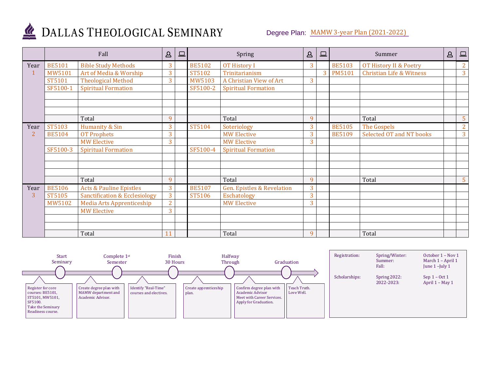![](_page_2_Picture_0.jpeg)

## DALLAS THEOLOGICAL SEMINARY

#### Degree Plan: MAMW 3-year Plan (2021-2022)

|      | Fall          |                                          | $\Delta$       | $\qquad \qquad \Box$ |               | Spring                                | $\Delta$ | <u>ب</u>       |               | Summer                              |  | $\square$      |
|------|---------------|------------------------------------------|----------------|----------------------|---------------|---------------------------------------|----------|----------------|---------------|-------------------------------------|--|----------------|
| Year | <b>BE5101</b> | <b>Bible Study Methods</b>               | 3              |                      | <b>BE5102</b> | <b>OT History I</b>                   | 3        |                | <b>BE5103</b> | OT History II & Poetry              |  | $\overline{2}$ |
|      | MW5101        | Art of Media & Worship                   | 3              |                      | ST5102        | Trinitarianism                        |          | $\overline{3}$ | <b>PM5101</b> | <b>Christian Life &amp; Witness</b> |  | 3              |
|      | ST5101        | <b>Theological Method</b>                | 3              |                      | MW5103        | A Christian View of Art               | 3        |                |               |                                     |  |                |
|      | SF5100-1      | <b>Spiritual Formation</b>               |                |                      | SF5100-2      | <b>Spiritual Formation</b>            |          |                |               |                                     |  |                |
|      |               |                                          |                |                      |               |                                       |          |                |               |                                     |  |                |
|      |               |                                          |                |                      |               |                                       |          |                |               |                                     |  |                |
|      |               |                                          |                |                      |               |                                       |          |                |               |                                     |  |                |
|      |               | Total                                    | 9              |                      |               | Total                                 | 9        |                |               | Total                               |  | 5              |
| Year | ST5103        | Humanity & Sin                           | 3              |                      | ST5104        | Soteriology                           | 3        |                | <b>BE5105</b> | The Gospels                         |  | $\overline{2}$ |
| 2    | <b>BE5104</b> | <b>OT Prophets</b>                       | 3              |                      |               | <b>MW Elective</b>                    | 3        |                | <b>BE5109</b> | Selected OT and NT books            |  | 3              |
|      |               | <b>MW Elective</b>                       | 3              |                      |               | <b>MW Elective</b>                    | 3        |                |               |                                     |  |                |
|      | SF5100-3      | <b>Spiritual Formation</b>               |                |                      | SF5100-4      | <b>Spiritual Formation</b>            |          |                |               |                                     |  |                |
|      |               |                                          |                |                      |               |                                       |          |                |               |                                     |  |                |
|      |               |                                          |                |                      |               |                                       |          |                |               |                                     |  |                |
|      |               |                                          |                |                      |               |                                       |          |                |               |                                     |  |                |
|      |               | Total                                    | 9              |                      |               | Total                                 | 9        |                |               | Total                               |  | 5              |
| Year | <b>BE5106</b> | <b>Acts &amp; Pauline Epistles</b>       | 3              |                      | <b>BE5107</b> | <b>Gen. Epistles &amp; Revelation</b> | 3        |                |               |                                     |  |                |
| 3    | ST5105        | <b>Sanctification &amp; Ecclesiology</b> | 3              |                      | ST5106        | Eschatology                           | 3        |                |               |                                     |  |                |
|      | MW5102        | Media Arts Apprenticeship                | $\overline{2}$ |                      |               | <b>MW Elective</b>                    | 3        |                |               |                                     |  |                |
|      |               | <b>MW Elective</b>                       | 3              |                      |               |                                       |          |                |               |                                     |  |                |
|      |               |                                          |                |                      |               |                                       |          |                |               |                                     |  |                |
|      |               |                                          |                |                      |               |                                       |          |                |               |                                     |  |                |
|      |               | Total                                    | 11             |                      |               | Total                                 | 9        |                |               | Total                               |  |                |

![](_page_2_Figure_4.jpeg)